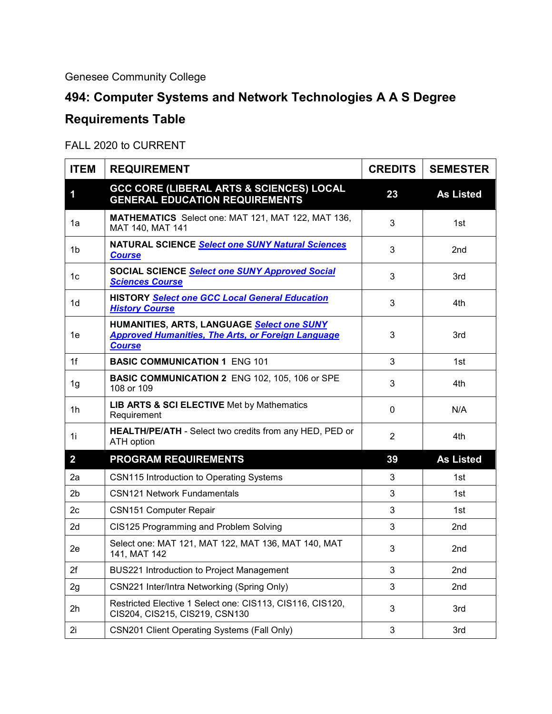Genesee Community College

## **494: Computer Systems and Network Technologies A A S Degree Requirements Table**

FALL 2020 to CURRENT

| <b>ITEM</b>    | <b>REQUIREMENT</b>                                                                                                       | <b>CREDITS</b> | <b>SEMESTER</b>  |
|----------------|--------------------------------------------------------------------------------------------------------------------------|----------------|------------------|
| 1              | GCC CORE (LIBERAL ARTS & SCIENCES) LOCAL<br><b>GENERAL EDUCATION REQUIREMENTS</b>                                        | 23             | <b>As Listed</b> |
| 1a             | <b>MATHEMATICS</b> Select one: MAT 121, MAT 122, MAT 136,<br>MAT 140, MAT 141                                            | 3              | 1st              |
| 1 <sub>b</sub> | NATURAL SCIENCE Select one SUNY Natural Sciences<br><b>Course</b>                                                        | 3              | 2nd              |
| 1 <sub>c</sub> | SOCIAL SCIENCE Select one SUNY Approved Social<br><b>Sciences Course</b>                                                 | 3              | 3rd              |
| 1d             | <b>HISTORY Select one GCC Local General Education</b><br><b>History Course</b>                                           | 3              | 4th              |
| 1e             | HUMANITIES, ARTS, LANGUAGE Select one SUNY<br><b>Approved Humanities, The Arts, or Foreign Language</b><br><b>Course</b> | 3              | 3rd              |
| 1f             | <b>BASIC COMMUNICATION 1 ENG 101</b>                                                                                     | 3              | 1st              |
| 1g             | <b>BASIC COMMUNICATION 2 ENG 102, 105, 106 or SPE</b><br>108 or 109                                                      | 3              | 4th              |
| 1h             | LIB ARTS & SCI ELECTIVE Met by Mathematics<br>Requirement                                                                | $\Omega$       | N/A              |
| 1i             | <b>HEALTH/PE/ATH - Select two credits from any HED, PED or</b><br>ATH option                                             | $\overline{2}$ | 4th              |
| $\overline{2}$ | <b>PROGRAM REQUIREMENTS</b>                                                                                              | 39             | <b>As Listed</b> |
| 2a             | CSN115 Introduction to Operating Systems                                                                                 | 3              | 1st              |
| 2b             | <b>CSN121 Network Fundamentals</b>                                                                                       | 3              | 1st              |
| 2 <sub>c</sub> | <b>CSN151 Computer Repair</b>                                                                                            | 3              | 1st              |
| 2d             | CIS125 Programming and Problem Solving                                                                                   | 3              | 2nd              |
| 2e             | Select one: MAT 121, MAT 122, MAT 136, MAT 140, MAT<br>141, MAT 142                                                      | 3              | 2nd              |
| 2f             | <b>BUS221 Introduction to Project Management</b>                                                                         | 3              | 2nd              |
| 2g             | CSN221 Inter/Intra Networking (Spring Only)                                                                              | 3              | 2nd              |
| 2h             | Restricted Elective 1 Select one: CIS113, CIS116, CIS120,<br>CIS204, CIS215, CIS219, CSN130                              | 3              | 3rd              |
| 2i             | <b>CSN201 Client Operating Systems (Fall Only)</b>                                                                       | 3              | 3rd              |